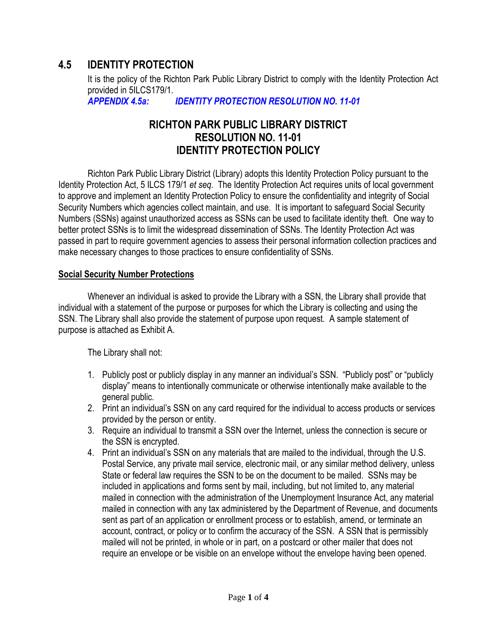# **4.5 IDENTITY PROTECTION**

It is the policy of the Richton Park Public Library District to comply with the Identity Protection Act provided in 5ILCS179/1.

*APPENDIX 4.5a: IDENTITY PROTECTION RESOLUTION NO. 11-01*

# **RICHTON PARK PUBLIC LIBRARY DISTRICT RESOLUTION NO. 11-01 IDENTITY PROTECTION POLICY**

Richton Park Public Library District (Library) adopts this Identity Protection Policy pursuant to the Identity Protection Act, 5 ILCS 179/1 *et seq*. The Identity Protection Act requires units of local government to approve and implement an Identity Protection Policy to ensure the confidentiality and integrity of Social Security Numbers which agencies collect maintain, and use. It is important to safeguard Social Security Numbers (SSNs) against unauthorized access as SSNs can be used to facilitate identity theft. One way to better protect SSNs is to limit the widespread dissemination of SSNs. The Identity Protection Act was passed in part to require government agencies to assess their personal information collection practices and make necessary changes to those practices to ensure confidentiality of SSNs.

#### **Social Security Number Protections**

Whenever an individual is asked to provide the Library with a SSN, the Library shall provide that individual with a statement of the purpose or purposes for which the Library is collecting and using the SSN. The Library shall also provide the statement of purpose upon request. A sample statement of purpose is attached as Exhibit A.

The Library shall not:

- 1. Publicly post or publicly display in any manner an individual's SSN. "Publicly post" or "publicly display" means to intentionally communicate or otherwise intentionally make available to the general public.
- 2. Print an individual's SSN on any card required for the individual to access products or services provided by the person or entity.
- 3. Require an individual to transmit a SSN over the Internet, unless the connection is secure or the SSN is encrypted.
- 4. Print an individual's SSN on any materials that are mailed to the individual, through the U.S. Postal Service, any private mail service, electronic mail, or any similar method delivery, unless State or federal law requires the SSN to be on the document to be mailed. SSNs may be included in applications and forms sent by mail, including, but not limited to, any material mailed in connection with the administration of the Unemployment Insurance Act, any material mailed in connection with any tax administered by the Department of Revenue, and documents sent as part of an application or enrollment process or to establish, amend, or terminate an account, contract, or policy or to confirm the accuracy of the SSN. A SSN that is permissibly mailed will not be printed, in whole or in part, on a postcard or other mailer that does not require an envelope or be visible on an envelope without the envelope having been opened.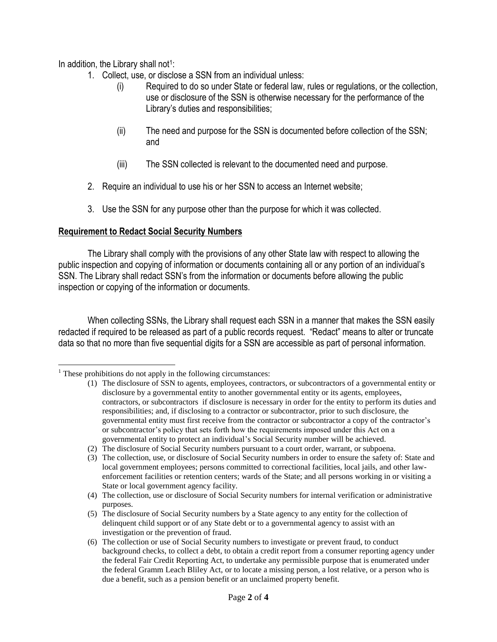In addition, the Library shall not<sup>1</sup>:

- 1. Collect, use, or disclose a SSN from an individual unless:
	- (i) Required to do so under State or federal law, rules or regulations, or the collection, use or disclosure of the SSN is otherwise necessary for the performance of the Library's duties and responsibilities;
	- (ii) The need and purpose for the SSN is documented before collection of the SSN; and
	- (iii) The SSN collected is relevant to the documented need and purpose.
- 2. Require an individual to use his or her SSN to access an Internet website;
- 3. Use the SSN for any purpose other than the purpose for which it was collected.

### **Requirement to Redact Social Security Numbers**

The Library shall comply with the provisions of any other State law with respect to allowing the public inspection and copying of information or documents containing all or any portion of an individual's SSN. The Library shall redact SSN's from the information or documents before allowing the public inspection or copying of the information or documents.

When collecting SSNs, the Library shall request each SSN in a manner that makes the SSN easily redacted if required to be released as part of a public records request. "Redact" means to alter or truncate data so that no more than five sequential digits for a SSN are accessible as part of personal information.

 $\overline{\phantom{a}}$  $<sup>1</sup>$  These prohibitions do not apply in the following circumstances:</sup>

<sup>(1)</sup> The disclosure of SSN to agents, employees, contractors, or subcontractors of a governmental entity or disclosure by a governmental entity to another governmental entity or its agents, employees, contractors, or subcontractors if disclosure is necessary in order for the entity to perform its duties and responsibilities; and, if disclosing to a contractor or subcontractor, prior to such disclosure, the governmental entity must first receive from the contractor or subcontractor a copy of the contractor's or subcontractor's policy that sets forth how the requirements imposed under this Act on a governmental entity to protect an individual's Social Security number will be achieved.

<sup>(2)</sup> The disclosure of Social Security numbers pursuant to a court order, warrant, or subpoena.

<sup>(3)</sup> The collection, use, or disclosure of Social Security numbers in order to ensure the safety of: State and local government employees; persons committed to correctional facilities, local jails, and other lawenforcement facilities or retention centers; wards of the State; and all persons working in or visiting a State or local government agency facility.

<sup>(4)</sup> The collection, use or disclosure of Social Security numbers for internal verification or administrative purposes.

<sup>(5)</sup> The disclosure of Social Security numbers by a State agency to any entity for the collection of delinquent child support or of any State debt or to a governmental agency to assist with an investigation or the prevention of fraud.

<sup>(6)</sup> The collection or use of Social Security numbers to investigate or prevent fraud, to conduct background checks, to collect a debt, to obtain a credit report from a consumer reporting agency under the federal Fair Credit Reporting Act, to undertake any permissible purpose that is enumerated under the federal Gramm Leach Bliley Act, or to locate a missing person, a lost relative, or a person who is due a benefit, such as a pension benefit or an unclaimed property benefit.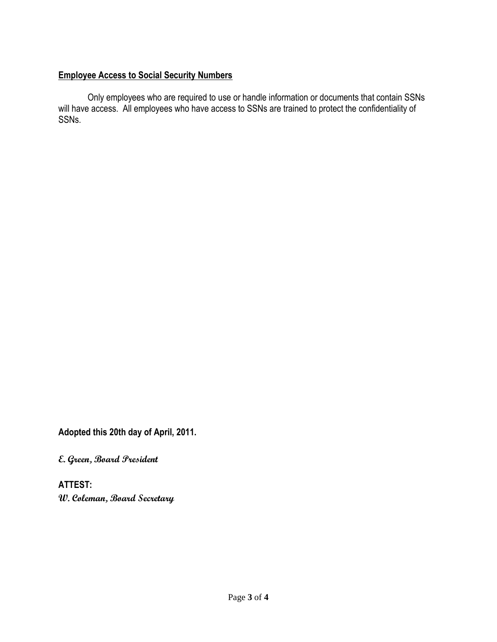## **Employee Access to Social Security Numbers**

Only employees who are required to use or handle information or documents that contain SSNs will have access. All employees who have access to SSNs are trained to protect the confidentiality of SSNs.

**Adopted this 20th day of April, 2011.**

**E. Green, Board President**

**ATTEST: W. Coleman, Board Secretary**